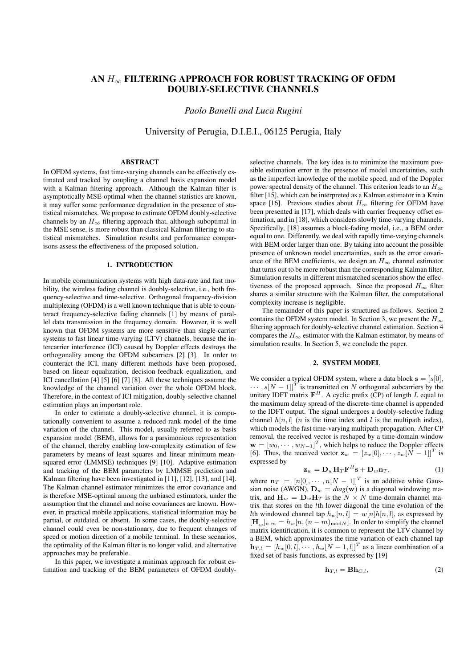# AN  $H_{\infty}$  FILTERING APPROACH FOR ROBUST TRACKING OF OFDM DOUBLY-SELECTIVE CHANNELS

*Paolo Banelli and Luca Rugini*

University of Perugia, D.I.E.I., 06125 Perugia, Italy

#### ABSTRACT

In OFDM systems, fast time-varying channels can be effectively estimated and tracked by coupling a channel basis expansion model with a Kalman filtering approach. Although the Kalman filter is asymptotically MSE-optimal when the channel statistics are known, it may suffer some performance degradation in the presence of statistical mismatches. We propose to estimate OFDM doubly-selective channels by an  $H_{\infty}$  filtering approach that, although suboptimal in the MSE sense, is more robust than classical Kalman filtering to statistical mismatches. Simulation results and performance comparisons assess the effectiveness of the proposed solution.

## 1. INTRODUCTION

In mobile communication systems with high data-rate and fast mobility, the wireless fading channel is doubly-selective, i.e., both frequency-selective and time-selective. Orthogonal frequency-division multiplexing (OFDM) is a well known technique that is able to counteract frequency-selective fading channels [1] by means of parallel data transmission in the frequency domain. However, it is well known that OFDM systems are more sensitive than single-carrier systems to fast linear time-varying (LTV) channels, because the intercarrier interference (ICI) caused by Doppler effects destroys the orthogonality among the OFDM subcarriers [2] [3]. In order to counteract the ICI, many different methods have been proposed, based on linear equalization, decision-feedback equalization, and ICI cancellation [4] [5] [6] [7] [8]. All these techniques assume the knowledge of the channel variation over the whole OFDM block. Therefore, in the context of ICI mitigation, doubly-selective channel estimation plays an important role.

In order to estimate a doubly-selective channel, it is computationally convenient to assume a reduced-rank model of the time variation of the channel. This model, usually referred to as basis expansion model (BEM), allows for a parsimonious representation of the channel, thereby enabling low-complexity estimation of few parameters by means of least squares and linear minimum meansquared error (LMMSE) techniques [9] [10]. Adaptive estimation and tracking of the BEM parameters by LMMSE prediction and Kalman filtering have been investigated in [11], [12], [13], and [14]. The Kalman channel estimator minimizes the error covariance and is therefore MSE-optimal among the unbiased estimators, under the assumption that the channel and noise covariances are known. However, in practical mobile applications, statistical information may be partial, or outdated, or absent. In some cases, the doubly-selective channel could even be non-stationary, due to frequent changes of speed or motion direction of a mobile terminal. In these scenarios, the optimality of the Kalman filter is no longer valid, and alternative approaches may be preferable.

In this paper, we investigate a minimax approach for robust estimation and tracking of the BEM parameters of OFDM doubly-

selective channels. The key idea is to minimize the maximum possible estimation error in the presence of model uncertainties, such as the imperfect knowledge of the mobile speed, and of the Doppler power spectral density of the channel. This criterion leads to an  $H_{\infty}$ filter [15], which can be interpreted as a Kalman estimator in a Krein space [16]. Previous studies about  $H_{\infty}$  filtering for OFDM have been presented in [17], which deals with carrier frequency offset estimation, and in [18], which considers slowly time-varying channels. Specifically, [18] assumes a block-fading model, i.e., a BEM order equal to one. Differently, we deal with rapidly time-varying channels with BEM order larger than one. By taking into account the possible presence of unknown model uncertainties, such as the error covariance of the BEM coefficients, we design an  $H_{\infty}$  channel estimator that turns out to be more robust than the corresponding Kalman filter. Simulation results in different mismatched scenarios show the effectiveness of the proposed approach. Since the proposed  $H_{\infty}$  filter shares a similar structure with the Kalman filter, the computational complexity increase is negligible.

The remainder of this paper is structured as follows. Section 2 contains the OFDM system model. In Section 3, we present the  $H_{\infty}$ filtering approach for doubly-selective channel estimation. Section 4 compares the  $H_{\infty}$  estimator with the Kalman estimator, by means of simulation results. In Section 5, we conclude the paper.

### 2. SYSTEM MODEL

We consider a typical OFDM system, where a data block  $s = [s[0],$  $\cdots$ ,  $s[N-1]$ <sup>T</sup> is transmitted on N orthogonal subcarriers by the unitary IDFT matrix  $\mathbf{F}^{H}$ . A cyclic prefix (CP) of length L equal to the maximum delay spread of the discrete-time channel is appended to the IDFT output. The signal undergoes a doubly-selective fading channel  $h[n, l]$  (*n* is the time index and *l* is the multipath index), which models the fast time-varying multipath propagation. After CP removal, the received vector is reshaped by a time-domain window  $\mathbf{w} = [w_0, \dots, w_{N-1}]^T$ , which helps to reduce the Doppler effects [6]. Thus, the received vector  $\mathbf{z}_w = [z_w[0], \dots, z_w[N-1]]^T$  is expressed by

$$
\mathbf{z}_w = \mathbf{D}_w \mathbf{H}_T \mathbf{F}^H \mathbf{s} + \mathbf{D}_w \mathbf{n}_T, \tag{1}
$$

where  $\mathbf{n}_T = [n[0], \cdots, n[N-1]]^T$  is an additive white Gaussian noise (AWGN),  $D_w = diag(w)$  is a diagonal windowing matrix, and  $\mathbf{H}_w = \mathbf{D}_w \mathbf{H}_T$  is the  $N \times N$  time-domain channel matrix that stores on the *l*th lower diagonal the time evolution of the Ith windowed channel tap  $h_w[n, l] = w[n|h[n, l]$ , as expressed by  $[\mathbf{H}_w]_{n,m} = h_w[n, (n-m)_{\text{mod}N}]$ . In order to simplify the channel matrix identification, it is common to represent the LTV channel by a BEM, which approximates the time variation of each channel tap  $\mathbf{h}_{T,l} = [h_w[0,l], \cdots, h_w[N-1,l]]^T$  as a linear combination of a fixed set of basis functions, as expressed by [19]

$$
\mathbf{h}_{T,l} = \mathbf{B} \mathbf{h}_{C,l},\tag{2}
$$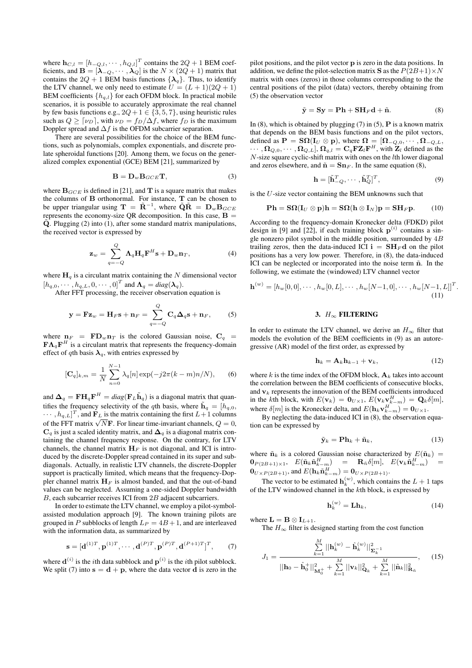where  $\mathbf{h}_{C,l} = [h_{-Q,l}, \cdots, h_{Q,l}]^T$  contains the  $2Q + 1$  BEM coefficients, and  $\mathbf{B} = [\lambda_{-Q}, \cdots, \lambda_{Q}]$  is the  $N \times (2Q + 1)$  matrix that contains the 2Q + 1 BEM basis functions  $\{\lambda_q\}$ . Thus, to identify the LTV channel, we only need to estimate  $U = (L + 1)(2Q + 1)$ BEM coefficients  $\{h_{q,l}\}$  for each OFDM block. In practical mobile scenarios, it is possible to accurately approximate the real channel by few basis functions e.g.,  $2Q + 1 \in \{3, 5, 7\}$ , using heuristic rules such as  $Q \geq [\nu_D]$ , with  $\nu_D = f_D/\Delta f$ , where  $f_D$  is the maximum Doppler spread and  $\Delta f$  is the OFDM subcarrier separation.

There are several possibilities for the choice of the BEM functions, such as polynomials, complex exponentials, and discrete prolate spheroidal functions [20]. Among them, we focus on the generalized complex exponential (GCE) BEM [21], summarized by

$$
\mathbf{B} = \mathbf{D}_w \mathbf{B}_{GCE} \mathbf{T},\tag{3}
$$

where  $\mathbf{B}_{GCE}$  is defined in [21], and T is a square matrix that makes the columns of B orthonormal. For instance, T can be chosen to be upper triangular using  $\mathbf{T} = \tilde{\mathbf{R}}^{-1}$ , where  $\tilde{\mathbf{Q}}\tilde{\mathbf{R}} = \mathbf{D}_w \mathbf{B}_{GCE}$ represents the economy-size QR decomposition. In this case,  $\bf{B}$  =  $\tilde{\mathbf{Q}}$ . Plugging (2) into (1), after some standard matrix manipulations, the received vector is expressed by

$$
\mathbf{z}_{w} = \sum_{q=-Q}^{Q} \mathbf{\Lambda}_{q} \mathbf{H}_{q} \mathbf{F}^{H} \mathbf{s} + \mathbf{D}_{w} \mathbf{n}_{T}, \tag{4}
$$

where  $H_a$  is a circulant matrix containing the N dimensional vector  $[h_{q,0}, \cdots, h_{q,L}, 0, \cdots, 0]^T$  and  $\Lambda_q = diag(\lambda_q)$ .

After FFT processing, the receiver observation equation is

$$
\mathbf{y} = \mathbf{F} \mathbf{z}_w = \mathbf{H}_F \mathbf{s} + \mathbf{n}_F = \sum_{q=-Q}^{Q} \mathbf{C}_q \mathbf{\Delta}_q \mathbf{s} + \mathbf{n}_F, \qquad (5)
$$

where  $n_F = FD_w n_T$  is the colored Gaussian noise,  $C_q$  $\mathbf{F}\mathbf{\Lambda}_q\mathbf{F}^H$  is a circulant matrix that represents the frequency-domain effect of q<sup>th</sup> basis  $\lambda_q$ , with entries expressed by

$$
[\mathbf{C}_q]_{k,m} = \frac{1}{N} \sum_{n=0}^{N-1} \lambda_q[n] \exp(-j2\pi(k-m)n/N), \quad (6)
$$

and  $\mathbf{\Delta}_q = \mathbf{F} \mathbf{H}_q \mathbf{F}^H = diag(\mathbf{F}_L \tilde{\mathbf{h}}_q)$  is a diagonal matrix that quantifies the frequency selectivity of the qth basis, where  $\tilde{\mathbf{h}}_q = [h_{q,0}, h_{q,0}]$  $\cdots$ ,  $h_{q,L}$ ]<sup>T</sup>, and  $\mathbf{F}_L$  is the matrix containing the first  $L+1$  columns  $\dots, n_{q,L}$ , and **F**<sub>L</sub> is the matrix containing the first  $L+1$  columns of the FFT matrix  $\sqrt{N}$ **F**. For linear time-invariant channels,  $Q = 0$ ,  $\mathbf{C}_q$  is just a scaled identity matrix, and  $\mathbf{\Delta}_q$  is a diagonal matrix containing the channel frequency response. On the contrary, for LTV channels, the channel matrix  $H_F$  is not diagonal, and ICI is introduced by the discrete-Doppler spread contained in its super and subdiagonals. Actually, in realistic LTV channels, the discrete-Doppler support is practically limited, which means that the frequency-Doppler channel matrix  $H_F$  is almost banded, and that the out-of-band values can be neglected. Assuming a one-sided Doppler bandwidth  $B$ , each subcarrier receives ICI from  $2B$  adjacent subcarriers.

In order to estimate the LTV channel, we employ a pilot-symbolassisted modulation approach [9]. The known training pilots are grouped in P subblocks of length  $L_P = 4B + 1$ , and are interleaved with the information data, as summarized by

$$
\mathbf{s} = [\mathbf{d}^{(1)T}, \mathbf{p}^{(1)T}, \cdots, \mathbf{d}^{(P)T}, \mathbf{p}^{(P)T}, \mathbf{d}^{(P+1)T}]^T, \qquad (7)
$$

where  $\mathbf{d}^{(i)}$  is the *i*th data subblock and  $\mathbf{p}^{(i)}$  is the *i*th pilot subblock. We split (7) into  $s = d + p$ , where the data vector d is zero in the

pilot positions, and the pilot vector p is zero in the data positions. In addition, we define the pilot-selection matrix **S** as the  $P(2B+1) \times N$ matrix with ones (zeros) in those columns corresponding to the the central positions of the pilot (data) vectors, thereby obtaining from (5) the observation vector

$$
\tilde{\mathbf{y}} = \mathbf{S}\mathbf{y} = \mathbf{P}\mathbf{h} + \mathbf{S}\mathbf{H}_F \mathbf{d} + \tilde{\mathbf{n}}.\tag{8}
$$

In (8), which is obtained by plugging (7) in (5),  $P$  is a known matrix that depends on the BEM basis functions and on the pilot vectors, defined as  $\mathbf{P} = \mathbf{S} \mathbf{\Omega} (\mathbf{I}_U \otimes \mathbf{p})$ , where  $\mathbf{\Omega} = [\mathbf{\Omega}_{-Q,0}, \cdots, \mathbf{\Omega}_{-Q,L}]$  $\cdots$ ,  $\Omega_{Q,0}, \cdots, \Omega_{Q,L}$ ,  $\Omega_{q,l} = \mathbf{C}_q \mathbf{F} \mathbf{Z}_l \mathbf{F}^H$ , with  $\mathbf{Z}_l$  defined as the  $N$ -size square cyclic-shift matrix with ones on the  $l$ th lower diagonal and zeros elsewhere, and  $\tilde{\mathbf{n}} = \mathbf{S} \mathbf{n}_F$ . In the same equation (8),

$$
\mathbf{h} = [\tilde{\mathbf{h}}_{-Q}^T, \cdots, \tilde{\mathbf{h}}_Q^T]^T, \tag{9}
$$

is the  $U$ -size vector containing the BEM unknowns such that

$$
\mathbf{Ph} = \mathbf{S}\Omega(\mathbf{I}_U \otimes \mathbf{p})\mathbf{h} = \mathbf{S}\Omega(\mathbf{h} \otimes \mathbf{I}_N)\mathbf{p} = \mathbf{S}\mathbf{H}_F\mathbf{p}.\tag{10}
$$

According to the frequency-domain Kronecker delta (FDKD) pilot design in [9] and [22], if each training block  $p^{(i)}$  contains a single nonzero pilot symbol in the middle position, surrounded by  $4B$ trailing zeros, then the data-induced ICI  $i = SH_F d$  on the pilot positions has a very low power. Therefore, in (8), the data-induced ICI can be neglected or incorporated into the noise term  $\tilde{n}$ . In the following, we estimate the (windowed) LTV channel vector

$$
\mathbf{h}^{(w)} = [h_w[0,0], \cdots, h_w[0,L], \cdots, h_w[N-1,0], \cdots, h_w[N-1,L]]^T
$$
\n(11)

#### 3.  $H_{\infty}$  FILTERING

In order to estimate the LTV channel, we derive an  $H_{\infty}$  filter that models the evolution of the BEM coefficients in (9) as an autoregressive (AR) model of the first order, as expressed by

$$
\mathbf{h}_k = \mathbf{A}_k \mathbf{h}_{k-1} + \mathbf{v}_k, \tag{12}
$$

.

where  $k$  is the time index of the OFDM block,  $A_k$  takes into account the correlation between the BEM coefficients of consecutive blocks, and  $v_k$  represents the innovation of the BEM coefficients introduced in the kth block, with  $E(\mathbf{v}_k) = \mathbf{0}_{U \times 1}$ ,  $E(\mathbf{v}_k \mathbf{v}_{k-m}^H) = \mathbf{Q}_k \delta[m]$ , where  $\delta[m]$  is the Kronecker delta, and  $E(\mathbf{h}_k \mathbf{v}_{k-m}^H) = \mathbf{0}_{U \times 1}$ .

By neglecting the data-induced ICI in  $(8)$ , the observation equation can be expressed by

$$
\tilde{\mathbf{y}}_k = \mathbf{P}\mathbf{h}_k + \tilde{\mathbf{n}}_k,\tag{13}
$$

where  $\tilde{\mathbf{n}}_k$  is a colored Gaussian noise characterized by  $E(\tilde{\mathbf{n}}_k)$  =  $\mathbf{0}_{P(2B+1)\times 1}, \;\; E(\tilde{\mathbf{n}}_k \tilde{\mathbf{n}}_{k-m}^H) \;\;\; = \;\;\; \mathbf{R}_{\tilde{n}} \delta[m], \;\; E(\mathbf{v}_k \tilde{\mathbf{n}}_{k-m}^H) \;\;\; =$  $\mathbf{0}_{U\times P(2B+1)}$ , and  $E(\mathbf{h}_k \tilde{\mathbf{n}}_{k-m}^H) = \mathbf{0}_{U\times P(2B+1)}$ .

The vector to be estimated  $\mathbf{h}_k^{(w)}$ , which contains the  $L+1$  taps of the LTV windowed channel in the  $k$ th block, is expressed by

$$
\mathbf{h}_k^{(w)} = \mathbf{L}\mathbf{h}_k,\tag{14}
$$

where  $\mathbf{L} = \mathbf{B} \otimes \mathbf{I}_{L+1}$ . The  $H_{\infty}$  filter is designed starting from the cost function

$$
J_1 = \frac{\sum_{k=1}^{M} ||\mathbf{h}_k^{(w)} - \hat{\mathbf{h}}_k^{(w)}||_{\mathbf{\Sigma}_k^{-1}}^2}{||\mathbf{h}_0 - \hat{\mathbf{h}}_0^+||_{\mathbf{M}_0^+}^2 + \sum_{k=1}^{M} ||\mathbf{v}_k||_{\mathbf{Q}_k}^2 + \sum_{k=1}^{M} ||\tilde{\mathbf{n}}_k||_{\mathbf{R}_{\tilde{n}}}^2},
$$
 (15)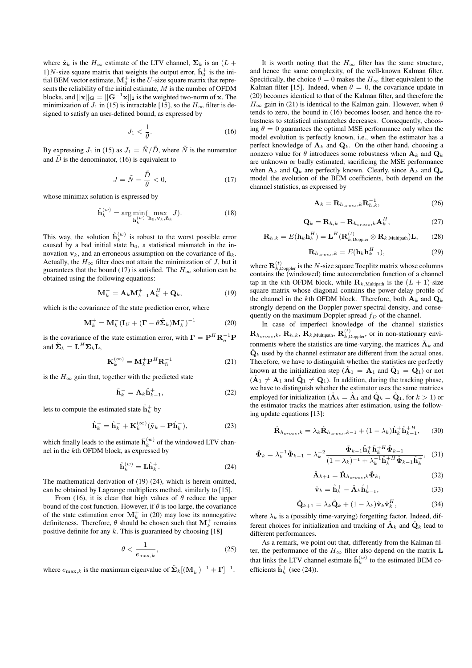where  $\hat{\mathbf{z}}_k$  is the  $H_{\infty}$  estimate of the LTV channel,  $\Sigma_k$  is an  $(L +$ 1)*N*-size square matrix that weights the output error,  $\hat{h}_0^+$  is the initial BEM vector estimate,  $M_0^+$  is the U-size square matrix that represents the reliability of the initial estimate,  $M$  is the number of OFDM blocks, and  $||\mathbf{x}||_{\mathbf{G}} = ||\mathbf{G}^{-1}\mathbf{x}||_2$  is the weighted two-norm of x. The minimization of  $J_1$  in (15) is intractable [15], so the  $H_{\infty}$  filter is designed to satisfy an user-defined bound, as expressed by

$$
J_1 < \frac{1}{\theta}.\tag{16}
$$

By expressing  $J_1$  in (15) as  $J_1 = \tilde{N}/\tilde{D}$ , where  $\tilde{N}$  is the numerator and  $\tilde{D}$  is the denominator, (16) is equivalent to

$$
J = \tilde{N} - \frac{\tilde{D}}{\theta} < 0,\tag{17}
$$

whose minimax solution is expressed by

$$
\hat{\mathbf{h}}_k^{(w)} = \arg\min_{\mathbf{h}_k^{(w)}} (\max_{\mathbf{h}_0, \mathbf{v}_k, \tilde{\mathbf{n}}_k} J). \tag{18}
$$

This way, the solution  $\hat{\mathbf{h}}_k^{(w)}$  is robust to the worst possible error caused by a bad initial state  $h_0$ , a statistical mismatch in the innovation  $v_k$ , and an erroneous assumption on the covariance of  $\tilde{n}_k$ . Actually, the  $H_{\infty}$  filter does not attain the minimization of  $J$ , but it guarantees that the bound (17) is satisfied. The  $H_{\infty}$  solution can be obtained using the following equations:

$$
\mathbf{M}_k^- = \mathbf{A}_k \mathbf{M}_{k-1}^+ \mathbf{A}_k^H + \mathbf{Q}_k, \tag{19}
$$

which is the covariance of the state prediction error, where

$$
\mathbf{M}_{k}^{+} = \mathbf{M}_{k}^{-} (\mathbf{I}_{U} + (\mathbf{\Gamma} - \theta \tilde{\mathbf{\Sigma}}_{k}) \mathbf{M}_{k}^{-})^{-1}
$$
(20)

is the covariance of the state estimation error, with  $\mathbf{\Gamma} = \mathbf{P}^H \mathbf{R}_{\tilde{n}}^{-1} \mathbf{P}$ and  $\tilde{\mathbf{\Sigma}}_k = \mathbf{L}^H \mathbf{\Sigma}_k \mathbf{L}$ ,

$$
\mathbf{K}_k^{(\infty)} = \mathbf{M}_k^+ \mathbf{P}^H \mathbf{R}_{\tilde{n}}^{-1} \tag{21}
$$

is the  $H_{\infty}$  gain that, together with the predicted state

$$
\hat{\mathbf{h}}_k^- = \mathbf{A}_k \hat{\mathbf{h}}_{k-1}^+, \tag{22}
$$

lets to compute the estimated state  $\hat{\mathbf{h}}_k^+$  by

$$
\hat{\mathbf{h}}_k^+ = \hat{\mathbf{h}}_k^- + \mathbf{K}_k^{(\infty)} (\tilde{\mathbf{y}}_k - \mathbf{P} \hat{\mathbf{h}}_k^-), \tag{23}
$$

which finally leads to the estimate  $\hat{\mathbf{h}}_k^{(w)}$  of the windowed LTV channel in the kth OFDM block, as expressed by

$$
\hat{\mathbf{h}}_k^{(w)} = \mathbf{L}\hat{\mathbf{h}}_k^+. \tag{24}
$$

The mathematical derivation of (19)-(24), which is herein omitted, can be obtained by Lagrange multipliers method, similarly to [15].

From (16), it is clear that high values of  $\theta$  reduce the upper bound of the cost function. However, if  $\theta$  is too large, the covariance of the state estimation error  $M_k^+$  in (20) may lose its nonnegative definiteness. Therefore,  $\theta$  should be chosen such that  $\mathbf{M}_{k}^{+}$  remains positive definite for any  $k$ . This is guaranteed by choosing [18]

$$
\theta < \frac{1}{e_{\max,k}},\tag{25}
$$

where  $e_{\max,k}$  is the maximum eigenvalue of  $\tilde{\Sigma}_k[(\mathbf{M}_k^-)^{-1} + \Gamma]^{-1}$ .

It is worth noting that the  $H_{\infty}$  filter has the same structure, and hence the same complexity, of the well-known Kalman filter. Specifically, the choice  $\theta = 0$  makes the  $H_{\infty}$  filter equivalent to the Kalman filter [15]. Indeed, when  $\theta = 0$ , the covariance update in (20) becomes identical to that of the Kalman filter, and therefore the  $H_{\infty}$  gain in (21) is identical to the Kalman gain. However, when  $\theta$ tends to zero, the bound in (16) becomes looser, and hence the robustness to statistical mismatches decreases. Consequently, choosing  $\theta = 0$  guarantees the optimal MSE performance only when the model evolution is perfectly known, i.e., when the estimator has a perfect knowledge of  $A_k$  and  $Q_k$ . On the other hand, choosing a nonzero value for  $\theta$  introduces some robustness when  $A_k$  and  $Q_k$ are unknown or badly estimated, sacrificing the MSE performance when  $A_k$  and  $\mathbf{Q}_k$  are perfectly known. Clearly, since  $A_k$  and  $\mathbf{Q}_k$ model the evolution of the BEM coefficients, both depend on the channel statistics, as expressed by

$$
\mathbf{A}_k = \mathbf{R}_{h_{cross},k} \mathbf{R}_{h,k}^{-1},\tag{26}
$$

$$
\mathbf{Q}_k = \mathbf{R}_{h,k} - \mathbf{R}_{h_{cross},k} \mathbf{A}_k^H, \tag{27}
$$

$$
\mathbf{R}_{h,k} = E(\mathbf{h}_k \mathbf{h}_k^H) = \mathbf{L}^H(\mathbf{R}_{k,\text{Doppler}}^{(t)} \otimes \mathbf{R}_{k,\text{Multipath}})\mathbf{L},\qquad(28)
$$

$$
\mathbf{R}_{h_{cross},k} = E(\mathbf{h}_k \mathbf{h}_{k-1}^H),\tag{29}
$$

where  $\mathbf{R}_{k,\text{Doppler}}^{(t)}$  is the N-size square Toeplitz matrix whose columns contains the (windowed) time autocorrelation function of a channel tap in the kth OFDM block, while  $\mathbf{R}_{k,\text{Multipath}}$  is the  $(L + 1)$ -size square matrix whose diagonal contains the power-delay profile of the channel in the *k*th OFDM block. Therefore, both  $A_k$  and  $Q_k$ strongly depend on the Doppler power spectral density, and consequently on the maximum Doppler spread  $f_D$  of the channel.

In case of imperfect knowledge of the channel statistics  $\mathbf{R}_{h_{cross},k},\,\mathbf{R}_{h,k},\,\mathbf{R}_{k,\text{Multipath}},\,\mathbf{R}_{k,\text{Doppler}}^{(t)},$  or in non-stationary environments where the statistics are time-varying, the matrices  $\mathbf{A}_k$  and  $\hat{\mathbf{Q}}_k$  used by the channel estimator are different from the actual ones. Therefore, we have to distinguish whether the statistics are perfectly known at the initialization step ( $\hat{A}_1 = A_1$  and  $\hat{Q}_1 = Q_1$ ) or not  $(\hat{\mathbf{A}}_1 \neq \mathbf{A}_1$  and  $\hat{\mathbf{Q}}_1 \neq \mathbf{Q}_1$ ). In addition, during the tracking phase, we have to distinguish whether the estimator uses the same matrices employed for initialization ( $\hat{A}_k = \hat{A}_1$  and  $\hat{Q}_k = \hat{Q}_1$ , for  $k > 1$ ) or the estimator tracks the matrices after estimation, using the following update equations [13]:

$$
\hat{\mathbf{R}}_{h_{cross},k} = \lambda_k \hat{\mathbf{R}}_{h_{cross},k-1} + (1 - \lambda_k) \hat{\mathbf{h}}_k^+ \hat{\mathbf{h}}_{k-1}^{+H},\qquad(30)
$$

$$
\hat{\mathbf{\Phi}}_k = \lambda_k^{-1} \hat{\mathbf{\Phi}}_{k-1} - \lambda_k^{-2} \frac{\hat{\mathbf{\Phi}}_{k-1} \hat{\mathbf{h}}_k^{\dagger} \hat{\mathbf{h}}_k^{\dagger H} \hat{\mathbf{\Phi}}_{k-1}}{(1 - \lambda_k)^{-1} + \lambda_k^{-1} \hat{\mathbf{h}}_k^{\dagger H} \hat{\mathbf{\Phi}}_{k-1} \hat{\mathbf{h}}_k^{\dagger}}, \tag{31}
$$

$$
\hat{\mathbf{A}}_{k+1} = \hat{\mathbf{R}}_{h_{cross},k} \hat{\mathbf{\Phi}}_k, \tag{32}
$$

$$
\hat{\mathbf{v}}_k = \hat{\mathbf{h}}_k^+ - \hat{\mathbf{A}}_k \hat{\mathbf{h}}_{k-1}^+, \tag{33}
$$

$$
\hat{\mathbf{Q}}_{k+1} = \lambda_k \hat{\mathbf{Q}}_k + (1 - \lambda_k) \hat{\mathbf{v}}_k \hat{\mathbf{v}}_k^H,
$$
\n(34)

where  $\lambda_k$  is a (possibly time-varying) forgetting factor. Indeed, different choices for initialization and tracking of  $\hat{A}_k$  and  $\hat{Q}_k$  lead to different performances.

As a remark, we point out that, differently from the Kalman filter, the performance of the  $H_{\infty}$  filter also depend on the matrix L that links the LTV channel estimate  $\hat{\mathbf{h}}_k^{(w)}$  to the estimated BEM coefficients  $\hat{\mathbf{h}}_k^+$  (see (24)).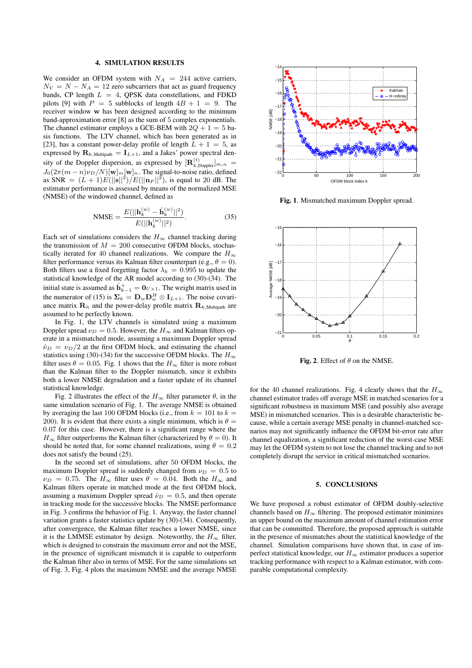#### 4. SIMULATION RESULTS

We consider an OFDM system with  $N_A = 244$  active carriers,  $N_V = N - N_A = 12$  zero subcarriers that act as guard frequency bands, CP length  $L = 4$ , QPSK data constellations, and FDKD pilots [9] with  $P = 5$  subblocks of length  $4B + 1 = 9$ . The receiver window w has been designed according to the minimum band-approximation error [8] as the sum of 5 complex exponentials. The channel estimator employs a GCE-BEM with  $2Q + 1 = 5$  basis functions. The LTV channel, which has been generated as in [23], has a constant power-delay profile of length  $L + 1 = 5$ , as expressed by  $\mathbf{R}_{k,\text{Multipath}} = \mathbf{I}_{L+1}$ , and a Jakes' power spectral density of the Doppler dispersion, as expressed by  $[\mathbf{R}_{k,\text{Doppler}}^{(t)}]_{m,n} =$  $J_0(2\pi(m-n)\nu_D/N)[\mathbf{w}]_m[\mathbf{w}]_n$ . The signal-to-noise ratio, defined as SNR  $=(L+1)E(||\mathbf{s}||^2)/E(||\mathbf{n}_F||^2)$ , is equal to 20 dB. The estimator performance is assessed by means of the normalized MSE (NMSE) of the windowed channel, defined as

NMSE = 
$$
\frac{E(||\mathbf{h}_k^{(w)} - \hat{\mathbf{h}}_k^{(w)}||^2)}{E(||\mathbf{h}_k^{(w)}||^2)}.
$$
 (35)

Each set of simulations considers the  $H_{\infty}$  channel tracking during the transmission of  $M = 200$  consecutive OFDM blocks, stochastically iterated for 40 channel realizations. We compare the  $H_{\infty}$ filter performance versus its Kalman filter counterpart (e.g.,  $\theta = 0$ ). Both filters use a fixed forgetting factor  $\lambda_k = 0.995$  to update the statistical knowledge of the AR model according to (30)-(34). The initial state is assumed as  $\hat{\mathbf{h}}_{k-1}^+ = \mathbf{0}_{U\times 1}.$  The weight matrix used in the numerator of (15) is  $\Sigma_k = \mathbf{D}_w \mathbf{D}_w^H \otimes \mathbf{I}_{L+1}$ . The noise covariance matrix  $\mathbf{R}_{\tilde{n}}$  and the power-delay profile matrix  $\mathbf{R}_{k,\text{Multipath}}$  are assumed to be perfectly known.

In Fig. 1, the LTV channels is simulated using a maximum Doppler spread  $\nu_D = 0.5$ . However, the  $H_{\infty}$  and Kalman filters operate in a mismatched mode, assuming a maximum Doppler spread  $\hat{\nu}_D = \nu_D/2$  at the first OFDM block, and estimating the channel statistics using (30)-(34) for the successive OFDM blocks. The  $H_{\infty}$ filter uses  $\theta = 0.05$ . Fig. 1 shows that the  $H_{\infty}$  filter is more robust than the Kalman filter to the Doppler mismatch, since it exhibits both a lower NMSE degradation and a faster update of its channel statistical knowledge.

Fig. 2 illustrates the effect of the  $H_{\infty}$  filter parameter  $\theta$ , in the same simulation scenario of Fig. 1. The average NMSE is obtained by averaging the last 100 OFDM blocks (i.e., from  $k = 101$  to  $k =$ 200). It is evident that there exists a single minimum, which is  $\theta =$ 0.07 for this case. However, there is a significant range where the  $H_{\infty}$  filter outperforms the Kalman filter (characterized by  $\theta = 0$ ). It should be noted that, for some channel realizations, using  $\theta = 0.2$ does not satisfy the bound (25).

In the second set of simulations, after 50 OFDM blocks, the maximum Doppler spread is suddenly changed from  $\nu_D = 0.5$  to  $\nu_D = 0.75$ . The  $H_{\infty}$  filter uses  $\theta = 0.04$ . Both the  $H_{\infty}$  and Kalman filters operate in matched mode at the first OFDM block, assuming a maximum Doppler spread  $\hat{\nu}_D = 0.5$ , and then operate in tracking mode for the successive blocks. The NMSE performance in Fig. 3 confirms the behavior of Fig. 1. Anyway, the faster channel variation grants a faster statistics update by (30)-(34). Consequently, after convergence, the Kalman filter reaches a lower NMSE, since it is the LMMSE estimator by design. Noteworthy, the  $H_{\infty}$  filter, which is designed to constrain the maximum error and not the MSE, in the presence of significant mismatch it is capable to outperform the Kalman filter also in terms of MSE. For the same simulations set of Fig. 3, Fig. 4 plots the maximum NMSE and the average NMSE



Fig. 1. Mismatched maximum Doppler spread.



Fig. 2. Effect of  $\theta$  on the NMSE.

for the 40 channel realizations. Fig. 4 clearly shows that the  $H_{\infty}$ channel estimator trades off average MSE in matched scenarios for a significant robustness in maximum MSE (and possibly also average MSE) in mismatched scenarios. This is a desirable characteristic because, while a certain average MSE penalty in channel-matched scenarios may not significantly influence the OFDM bit-error rate after channel equalization, a significant reduction of the worst-case MSE may let the OFDM system to not lose the channel tracking and to not completely disrupt the service in critical mismatched scenarios.

#### 5. CONCLUSIONS

We have proposed a robust estimator of OFDM doubly-selective channels based on  $H_{\infty}$  filtering. The proposed estimator minimizes an upper bound on the maximum amount of channel estimation error that can be committed. Therefore, the proposed approach is suitable in the presence of mismatches about the statistical knowledge of the channel. Simulation comparisons have shown that, in case of imperfect statistical knowledge, our  $H_{\infty}$  estimator produces a superior tracking performance with respect to a Kalman estimator, with comparable computational complexity.